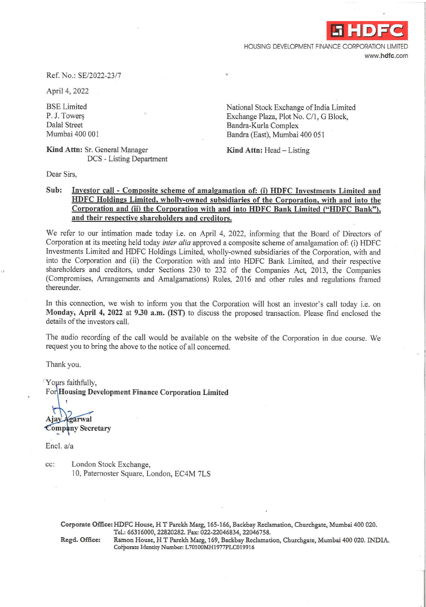**-i HDFC** 

HOUSING DEVELOPMENT FINANCE CORPORATION LIMITED **www.hdfc.com** 

Ref. No.: SE/2022-23/7

April 4, 2022

BSE Limited P. J. Towers Dalal Street Mumbai 400 001

**Kind Attn:** Sr. General Manager DCS - Listing Department National Stock Exchange of India Limited Exchange Plaza, Plot No. C/1, G Block, Bandra-Kurla Complex Bandra (East), Mumbai 400 051

Kind Attn: Head - Listing

Dear Sirs,

## **Sub: Investor call** - **Composite scheme of amalgamation of: (i) HDFC Investments Limited and HDFC Holdings Limited, wholly-owned subsidiaries of the Corporation, with and into the Corporation and** (ii) **the Corporation with and into HDFC Bank Limited ("HDFC Bank"), and their respective shareholders and creditors.**

We refer to our intimation made today i.e. on April 4, 2022, informing that the Board of Directors of Corporation at its meeting held today *inter alia* approved a composite scheme of amalgamation of: (i) HDFC Investments Limited and HDFC Holdings Limited, wholly-owned subsidiaries of the Corporation, with and into the Corporation and (ii) the Corporation with and into HDFC Bank Limited, and their respective shareholders and creditors, under Sections 230 to 232 of the Companies Act, 2013, the Companies (Compromises, Arrangements and Amalgamations) Rules, 2016 and other rules and regulations framed thereunder.

In this connection, we wish to inform you that the Corporation will host an investor's call today i.e. on **Monday, April 4, 2022** at **9.30 a.m. (1ST)** to discuss the proposed transaction. Please find enclosed the details of the investors call.

The audio recording of the call would be available on the website of the Corporation in due course. We request you to bring the above to the notice of all concerned.

Thank you.

Yours faithfully, For **Housing Development Finance Corporation Limited** 

Ajay Agarwal **Company Secretary** 

Encl. a/a

cc: London Stock Exchange, 10, Paternoster Square, London, EC4M 7LS

**Corporate Office: HDFC House, HT Parekh Marg, 165-166, Backbay Reclamation, Churchgate, Mumbai 400 020. Tel.: 66316000, 22820282. Fax: 022-22046834, 22046758.** 

**Regd. Office: Ratnon House, HT Parekh Marg, 169, Backbay Reclamation, Churchgate, Mumbai 400 020. INDIA. Cotporate Identity Number: L 701OOMH1977PLC019916**